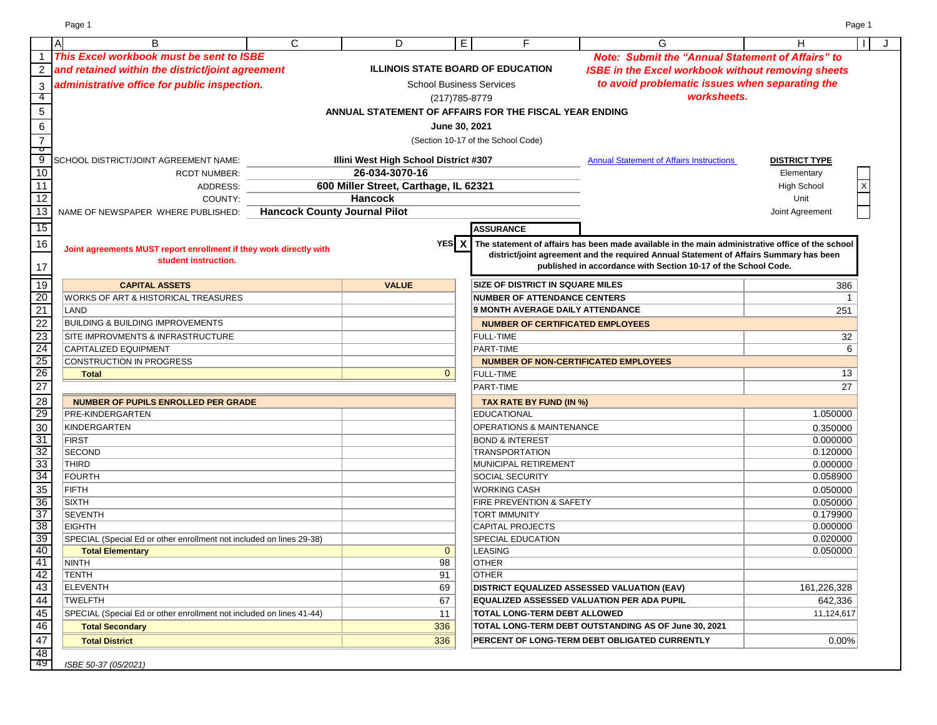Page 1 Page 1

| A                   | B                                                                    | $\mathsf{C}$                        |                                              | D              | E.             | F                                                      | G                                                                                                                                                                                          | H                      | J |
|---------------------|----------------------------------------------------------------------|-------------------------------------|----------------------------------------------|----------------|----------------|--------------------------------------------------------|--------------------------------------------------------------------------------------------------------------------------------------------------------------------------------------------|------------------------|---|
| $\mathbf 1$         | This Excel workbook must be sent to ISBE                             |                                     |                                              |                |                |                                                        | <b>Note: Submit the "Annual Statement of Affairs" to</b>                                                                                                                                   |                        |   |
| $\overline{2}$      | and retained within the district/joint agreement                     |                                     |                                              |                |                | <b>ILLINOIS STATE BOARD OF EDUCATION</b>               | <b>ISBE in the Excel workbook without removing sheets</b>                                                                                                                                  |                        |   |
| 3                   | administrative office for public inspection.                         |                                     |                                              |                |                | <b>School Business Services</b>                        | to avoid problematic issues when separating the                                                                                                                                            |                        |   |
| -4                  |                                                                      |                                     |                                              |                | (217) 785-8779 |                                                        | worksheets.                                                                                                                                                                                |                        |   |
| $\overline{5}$      |                                                                      |                                     |                                              |                |                | ANNUAL STATEMENT OF AFFAIRS FOR THE FISCAL YEAR ENDING |                                                                                                                                                                                            |                        |   |
|                     |                                                                      |                                     |                                              |                |                |                                                        |                                                                                                                                                                                            |                        |   |
| 6                   |                                                                      |                                     |                                              |                | June 30, 2021  |                                                        |                                                                                                                                                                                            |                        |   |
| $\overline{7}$<br>ं |                                                                      |                                     |                                              |                |                | (Section 10-17 of the School Code)                     |                                                                                                                                                                                            |                        |   |
| 9                   | SCHOOL DISTRICT/JOINT AGREEMENT NAME:                                |                                     | <b>Illini West High School District #307</b> |                |                |                                                        | <b>Annual Statement of Affairs Instructions</b>                                                                                                                                            | <b>DISTRICT TYPE</b>   |   |
| 10                  | <b>RCDT NUMBER:</b>                                                  |                                     |                                              | 26-034-3070-16 |                |                                                        |                                                                                                                                                                                            | Elementary             |   |
| 11                  | ADDRESS:                                                             |                                     | 600 Miller Street, Carthage, IL 62321        |                |                |                                                        |                                                                                                                                                                                            | <b>High School</b>     |   |
| $\overline{12}$     | COUNTY:                                                              |                                     | <b>Hancock</b>                               |                |                |                                                        |                                                                                                                                                                                            | Unit                   |   |
| $\overline{13}$     | NAME OF NEWSPAPER WHERE PUBLISHED:                                   | <b>Hancock County Journal Pilot</b> |                                              |                |                |                                                        |                                                                                                                                                                                            | Joint Agreement        |   |
| $\overline{15}$     |                                                                      |                                     |                                              |                |                | <b>ASSURANCE</b>                                       |                                                                                                                                                                                            |                        |   |
| 16                  |                                                                      |                                     |                                              |                | YES X          |                                                        |                                                                                                                                                                                            |                        |   |
|                     | Joint agreements MUST report enrollment if they work directly with   |                                     |                                              |                |                |                                                        | The statement of affairs has been made available in the main administrative office of the school<br>district/joint agreement and the required Annual Statement of Affairs Summary has been |                        |   |
| 17                  | student instruction.                                                 |                                     |                                              |                |                |                                                        | published in accordance with Section 10-17 of the School Code.                                                                                                                             |                        |   |
| 19                  | <b>CAPITAL ASSETS</b>                                                |                                     |                                              | <b>VALUE</b>   |                | <b>SIZE OF DISTRICT IN SQUARE MILES</b>                |                                                                                                                                                                                            | 386                    |   |
| 20                  | WORKS OF ART & HISTORICAL TREASURES                                  |                                     |                                              |                |                | <b>NUMBER OF ATTENDANCE CENTERS</b>                    |                                                                                                                                                                                            | -1                     |   |
| 21                  | LAND                                                                 |                                     |                                              |                |                | <b>9 MONTH AVERAGE DAILY ATTENDANCE</b>                |                                                                                                                                                                                            | 251                    |   |
| 22                  | <b>BUILDING &amp; BUILDING IMPROVEMENTS</b>                          |                                     |                                              |                |                | <b>NUMBER OF CERTIFICATED EMPLOYEES</b>                |                                                                                                                                                                                            |                        |   |
| 23                  | SITE IMPROVMENTS & INFRASTRUCTURE                                    |                                     |                                              |                |                | <b>FULL-TIME</b>                                       |                                                                                                                                                                                            | 32                     |   |
| 24                  | <b>CAPITALIZED EQUIPMENT</b>                                         |                                     |                                              |                |                | PART-TIME                                              |                                                                                                                                                                                            | 6                      |   |
| 25                  | <b>CONSTRUCTION IN PROGRESS</b>                                      |                                     |                                              |                |                |                                                        | <b>NUMBER OF NON-CERTIFICATED EMPLOYEES</b>                                                                                                                                                |                        |   |
| 26                  | <b>Total</b>                                                         |                                     |                                              |                | $\overline{0}$ | <b>FULL-TIME</b>                                       |                                                                                                                                                                                            | 13                     |   |
| 27                  |                                                                      |                                     |                                              |                |                | PART-TIME                                              |                                                                                                                                                                                            | 27                     |   |
| 28                  | <b>NUMBER OF PUPILS ENROLLED PER GRADE</b>                           |                                     |                                              |                |                | TAX RATE BY FUND (IN %)                                |                                                                                                                                                                                            |                        |   |
| 29                  | PRE-KINDERGARTEN                                                     |                                     |                                              |                |                | EDUCATIONAL                                            |                                                                                                                                                                                            | 1.050000               |   |
| 30                  | KINDERGARTEN                                                         |                                     |                                              |                |                | <b>OPERATIONS &amp; MAINTENANCE</b>                    |                                                                                                                                                                                            | 0.350000               |   |
| 31                  | <b>FIRST</b>                                                         |                                     |                                              |                |                | <b>BOND &amp; INTEREST</b>                             |                                                                                                                                                                                            | 0.000000               |   |
| 32                  | <b>SECOND</b>                                                        |                                     |                                              |                |                | <b>TRANSPORTATION</b>                                  |                                                                                                                                                                                            | 0.120000               |   |
| 33                  | <b>THIRD</b>                                                         |                                     |                                              |                |                | MUNICIPAL RETIREMENT                                   |                                                                                                                                                                                            | 0.000000               |   |
| 34                  | <b>FOURTH</b>                                                        |                                     |                                              |                |                | <b>SOCIAL SECURITY</b>                                 |                                                                                                                                                                                            | 0.058900               |   |
| 35                  | <b>FIFTH</b>                                                         |                                     |                                              |                |                | <b>WORKING CASH</b>                                    |                                                                                                                                                                                            | 0.050000               |   |
| 36                  | <b>SIXTH</b>                                                         |                                     |                                              |                |                | <b>FIRE PREVENTION &amp; SAFETY</b>                    |                                                                                                                                                                                            | 0.050000               |   |
| 37                  | <b>SEVENTH</b>                                                       |                                     |                                              |                |                | <b>TORT IMMUNITY</b>                                   |                                                                                                                                                                                            | 0.179900               |   |
| 38                  | <b>EIGHTH</b>                                                        |                                     |                                              |                |                | <b>CAPITAL PROJECTS</b>                                |                                                                                                                                                                                            | 0.000000               |   |
| 39                  | SPECIAL (Special Ed or other enrollment not included on lines 29-38) |                                     |                                              |                |                | <b>SPECIAL EDUCATION</b>                               |                                                                                                                                                                                            | 0.020000               |   |
| 40<br>41            | <b>Total Elementary</b><br><b>NINTH</b>                              |                                     |                                              |                | $\mathbf{0}$   | <b>LEASING</b>                                         |                                                                                                                                                                                            | 0.050000               |   |
| 42                  |                                                                      |                                     |                                              |                | 98<br>91       | <b>OTHER</b><br><b>OTHER</b>                           |                                                                                                                                                                                            |                        |   |
| 43                  | TENTH<br><b>ELEVENTH</b>                                             |                                     |                                              |                | 69             |                                                        | <b>DISTRICT EQUALIZED ASSESSED VALUATION (EAV)</b>                                                                                                                                         |                        |   |
| 44                  | TWELFTH                                                              |                                     |                                              |                | 67             |                                                        | EQUALIZED ASSESSED VALUATION PER ADA PUPIL                                                                                                                                                 | 161,226,328<br>642,336 |   |
| 45                  | SPECIAL (Special Ed or other enrollment not included on lines 41-44) |                                     |                                              |                | 11             | <b>TOTAL LONG-TERM DEBT ALLOWED</b>                    |                                                                                                                                                                                            |                        |   |
| 46                  |                                                                      |                                     |                                              |                | 336            |                                                        | TOTAL LONG-TERM DEBT OUTSTANDING AS OF June 30, 2021                                                                                                                                       | 11,124,617             |   |
|                     | <b>Total Secondary</b>                                               |                                     |                                              |                | 336            |                                                        | PERCENT OF LONG-TERM DEBT OBLIGATED CURRENTLY                                                                                                                                              | 0.00%                  |   |
| 47<br>48            | <b>Total District</b>                                                |                                     |                                              |                |                |                                                        |                                                                                                                                                                                            |                        |   |
|                     |                                                                      |                                     |                                              |                |                |                                                        |                                                                                                                                                                                            |                        |   |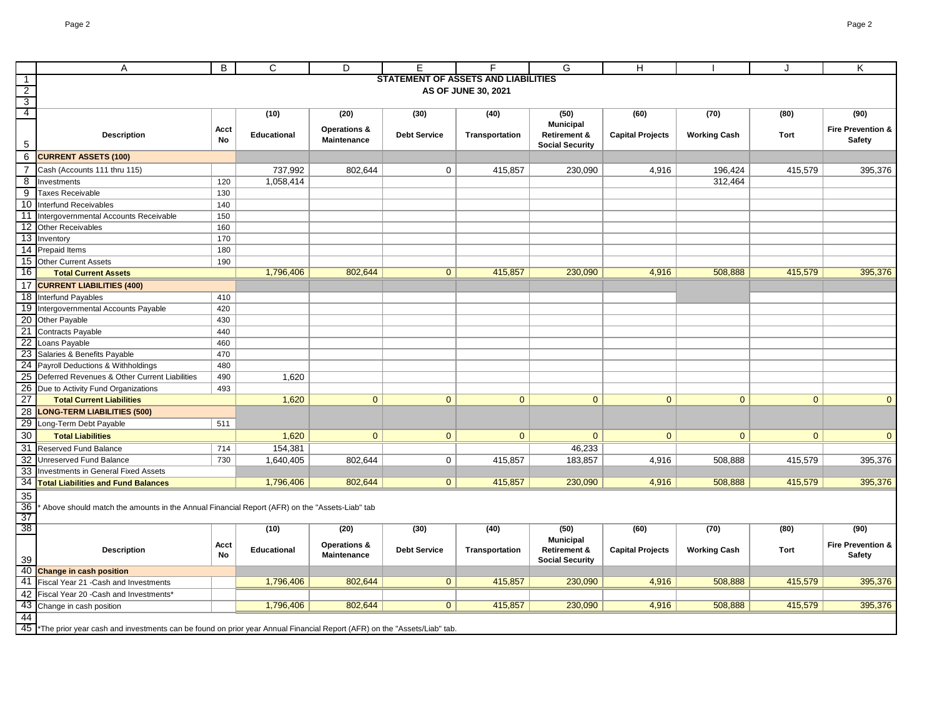|                 | Α                                                                                                                       | B          | $\mathbf C$ | D                                      | E                   |                                            | G                                           | H                       |                     |                | Κ                                             |
|-----------------|-------------------------------------------------------------------------------------------------------------------------|------------|-------------|----------------------------------------|---------------------|--------------------------------------------|---------------------------------------------|-------------------------|---------------------|----------------|-----------------------------------------------|
| -1              |                                                                                                                         |            |             |                                        |                     | <b>STATEMENT OF ASSETS AND LIABILITIES</b> |                                             |                         |                     |                |                                               |
| $\overline{2}$  |                                                                                                                         |            |             |                                        |                     | AS OF JUNE 30, 2021                        |                                             |                         |                     |                |                                               |
| 3               |                                                                                                                         |            |             |                                        |                     |                                            |                                             |                         |                     |                |                                               |
| $\overline{4}$  |                                                                                                                         |            | (10)        | (20)                                   | (30)                | (40)                                       | (50)<br><b>Municipal</b>                    | (60)                    | (70)                | (80)           | (90)                                          |
|                 | <b>Description</b>                                                                                                      | Acct<br>No | Educational | Operations &<br><b>Maintenance</b>     | <b>Debt Service</b> | Transportation                             | <b>Retirement &amp;</b>                     | <b>Capital Projects</b> | <b>Working Cash</b> | Tort           | <b>Fire Prevention &amp;</b><br><b>Safety</b> |
| 5               |                                                                                                                         |            |             |                                        |                     |                                            | <b>Social Security</b>                      |                         |                     |                |                                               |
| 6               | <b>CURRENT ASSETS (100)</b>                                                                                             |            |             |                                        |                     |                                            |                                             |                         |                     |                |                                               |
| $\overline{7}$  | Cash (Accounts 111 thru 115)                                                                                            |            | 737,992     | 802,644                                | $\mathbf 0$         | 415,857                                    | 230,090                                     | 4,916                   | 196,424             | 415,579        | 395,376                                       |
| 8               | Investments                                                                                                             | 120        | 1,058,414   |                                        |                     |                                            |                                             |                         | 312,464             |                |                                               |
| 9               | <b>Taxes Receivable</b>                                                                                                 | 130        |             |                                        |                     |                                            |                                             |                         |                     |                |                                               |
| 10              | Interfund Receivables                                                                                                   | 140        |             |                                        |                     |                                            |                                             |                         |                     |                |                                               |
| -11             | Intergovernmental Accounts Receivable                                                                                   | 150        |             |                                        |                     |                                            |                                             |                         |                     |                |                                               |
| 12              | <b>Other Receivables</b>                                                                                                | 160        |             |                                        |                     |                                            |                                             |                         |                     |                |                                               |
| 13              | Inventory                                                                                                               | 170        |             |                                        |                     |                                            |                                             |                         |                     |                |                                               |
| 14              | Prepaid Items                                                                                                           | 180        |             |                                        |                     |                                            |                                             |                         |                     |                |                                               |
|                 | 15 Other Current Assets                                                                                                 | 190        |             |                                        |                     |                                            |                                             |                         |                     |                |                                               |
| 16              | <b>Total Current Assets</b>                                                                                             |            | 1,796,406   | 802,644                                | $\overline{0}$      | 415,857                                    | 230,090                                     | 4,916                   | 508,888             | 415,579        | 395,376                                       |
| 17              | <b>CURRENT LIABILITIES (400)</b>                                                                                        |            |             |                                        |                     |                                            |                                             |                         |                     |                |                                               |
| 18              | Interfund Payables                                                                                                      | 410        |             |                                        |                     |                                            |                                             |                         |                     |                |                                               |
| 19              | Intergovernmental Accounts Payable                                                                                      | 420        |             |                                        |                     |                                            |                                             |                         |                     |                |                                               |
| 20              | Other Payable                                                                                                           | 430        |             |                                        |                     |                                            |                                             |                         |                     |                |                                               |
|                 | 21 Contracts Payable                                                                                                    | 440        |             |                                        |                     |                                            |                                             |                         |                     |                |                                               |
| 22              | Loans Payable                                                                                                           | 460        |             |                                        |                     |                                            |                                             |                         |                     |                |                                               |
| 23              | Salaries & Benefits Payable                                                                                             | 470        |             |                                        |                     |                                            |                                             |                         |                     |                |                                               |
| 24              | Payroll Deductions & Withholdings                                                                                       | 480        |             |                                        |                     |                                            |                                             |                         |                     |                |                                               |
| 25              | Deferred Revenues & Other Current Liabilities                                                                           | 490        | 1,620       |                                        |                     |                                            |                                             |                         |                     |                |                                               |
| 26              | Due to Activity Fund Organizations                                                                                      | 493        |             |                                        |                     |                                            |                                             |                         |                     |                |                                               |
| $\overline{27}$ | <b>Total Current Liabilities</b>                                                                                        |            | 1,620       | $\mathbf{0}$                           | $\overline{0}$      | $\mathbf{0}$                               | $\overline{0}$                              | $\mathbf{0}$            | $\overline{0}$      | $\overline{0}$ | $\mathbf{0}$                                  |
| 28              | <b>LONG-TERM LIABILITIES (500)</b>                                                                                      |            |             |                                        |                     |                                            |                                             |                         |                     |                |                                               |
| 29              | Long-Term Debt Payable                                                                                                  | 511        |             |                                        |                     |                                            |                                             |                         |                     |                |                                               |
| 30              | <b>Total Liabilities</b>                                                                                                |            | 1,620       | $\overline{0}$                         | $\overline{0}$      | $\mathbf{0}$                               | $\overline{0}$                              | $\overline{0}$          | $\overline{0}$      | $\overline{0}$ | $\mathbf{0}$                                  |
| 31              | Reserved Fund Balance                                                                                                   | 714        | 154,381     |                                        |                     |                                            | 46,233                                      |                         |                     |                |                                               |
| 32              | Unreserved Fund Balance                                                                                                 | 730        | 1,640,405   | 802,644                                | 0                   | 415,857                                    | 183,857                                     | 4,916                   | 508,888             | 415,579        | 395,376                                       |
| 33              | Investments in General Fixed Assets                                                                                     |            |             |                                        |                     |                                            |                                             |                         |                     |                |                                               |
| $\overline{34}$ | <b>Total Liabilities and Fund Balances</b>                                                                              |            | 1,796,406   | 802,644                                | $\overline{0}$      | 415,857                                    | 230,090                                     | 4,916                   | 508,888             | 415,579        | 395,376                                       |
| 35              |                                                                                                                         |            |             |                                        |                     |                                            |                                             |                         |                     |                |                                               |
| 36              | Above should match the amounts in the Annual Financial Report (AFR) on the "Assets-Liab" tab                            |            |             |                                        |                     |                                            |                                             |                         |                     |                |                                               |
| 37              |                                                                                                                         |            |             |                                        |                     |                                            |                                             |                         |                     |                |                                               |
| 38              |                                                                                                                         |            | (10)        | (20)                                   | (30)                | (40)                                       | (50)                                        | (60)                    | (70)                | (80)           | (90)                                          |
|                 | <b>Description</b>                                                                                                      | Acct<br>No | Educational | <b>Operations &amp;</b><br>Maintenance | <b>Debt Service</b> | Transportation                             | <b>Municipal</b><br><b>Retirement &amp;</b> | <b>Capital Projects</b> | <b>Working Cash</b> | Tort           | <b>Fire Prevention &amp;</b><br><b>Safety</b> |
| 39              |                                                                                                                         |            |             |                                        |                     |                                            | <b>Social Security</b>                      |                         |                     |                |                                               |
| 40              | <b>Change in cash position</b>                                                                                          |            |             |                                        |                     |                                            |                                             |                         |                     |                |                                               |
| 41              | Fiscal Year 21 - Cash and Investments                                                                                   |            | 1,796,406   | 802,644                                | $\overline{0}$      | 415,857                                    | 230,090                                     | 4,916                   | 508,888             | 415,579        | 395,376                                       |
| 42              | Fiscal Year 20 - Cash and Investments*                                                                                  |            |             |                                        |                     |                                            |                                             |                         |                     |                |                                               |
| 43              | Change in cash position                                                                                                 |            | 1,796,406   | 802,644                                | $\overline{0}$      | 415,857                                    | 230,090                                     | 4,916                   | 508,888             | 415,579        | 395,376                                       |
| 44              |                                                                                                                         |            |             |                                        |                     |                                            |                                             |                         |                     |                |                                               |
| 45              | *The prior year cash and investments can be found on prior year Annual Financial Report (AFR) on the "Assets/Liab" tab. |            |             |                                        |                     |                                            |                                             |                         |                     |                |                                               |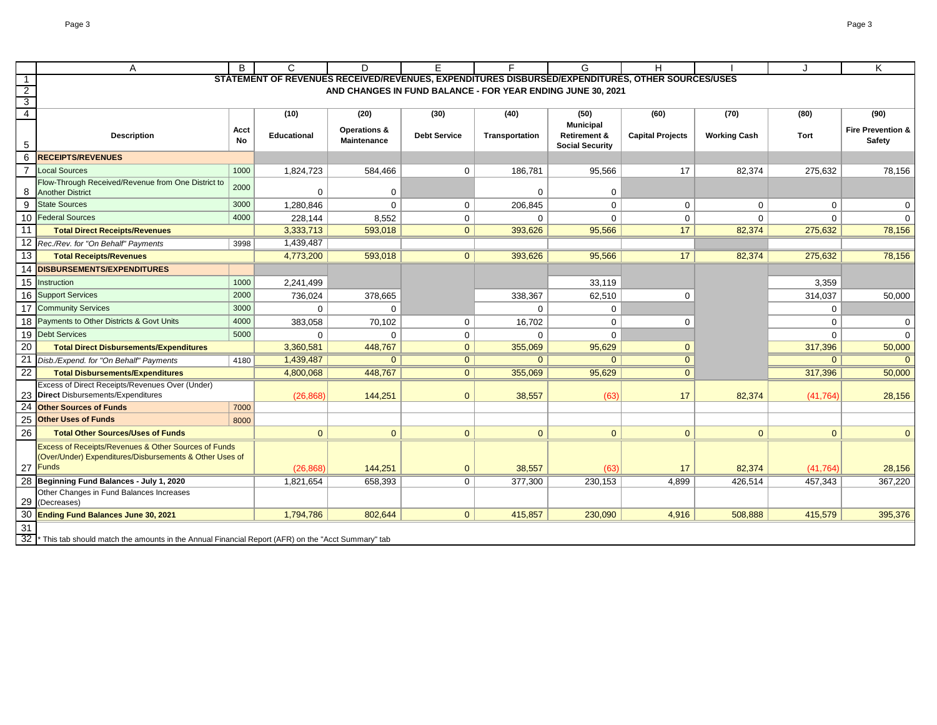$\mathbf I$ 

|                                           | A                                                                                                                           | B          | C                                                                                                | D                                  | F                   |                                                             | G                                                 | H                       |                     |                | K                                      |
|-------------------------------------------|-----------------------------------------------------------------------------------------------------------------------------|------------|--------------------------------------------------------------------------------------------------|------------------------------------|---------------------|-------------------------------------------------------------|---------------------------------------------------|-------------------------|---------------------|----------------|----------------------------------------|
| $\overline{1}$                            |                                                                                                                             |            | STATEMENT OF REVENUES RECEIVED/REVENUES, EXPENDITURES DISBURSED/EXPENDITURES, OTHER SOURCES/USES |                                    |                     |                                                             |                                                   |                         |                     |                |                                        |
| $\overline{2}$<br>$\overline{\mathbf{3}}$ |                                                                                                                             |            |                                                                                                  |                                    |                     | AND CHANGES IN FUND BALANCE - FOR YEAR ENDING JUNE 30, 2021 |                                                   |                         |                     |                |                                        |
| $\overline{4}$                            |                                                                                                                             |            | (10)                                                                                             | (20)                               | (30)                | (40)                                                        | (50)                                              | (60)                    | (70)                | (80)           | (90)                                   |
|                                           |                                                                                                                             |            |                                                                                                  |                                    |                     |                                                             | <b>Municipal</b>                                  |                         |                     |                |                                        |
| 5                                         | <b>Description</b>                                                                                                          | Acct<br>No | <b>Educational</b>                                                                               | Operations &<br><b>Maintenance</b> | <b>Debt Service</b> | Transportation                                              | <b>Retirement &amp;</b><br><b>Social Security</b> | <b>Capital Projects</b> | <b>Working Cash</b> | Tort           | <b>Fire Prevention &amp;</b><br>Safety |
| 6                                         | <b>RECEIPTS/REVENUES</b>                                                                                                    |            |                                                                                                  |                                    |                     |                                                             |                                                   |                         |                     |                |                                        |
| $\overline{7}$                            | <b>Local Sources</b>                                                                                                        | 1000       | 1,824,723                                                                                        | 584,466                            | $\mathbf 0$         | 186,781                                                     | 95,566                                            | 17                      | 82,374              | 275,632        | 78,156                                 |
| 8                                         | Flow-Through Received/Revenue from One District to<br><b>Another District</b>                                               | 2000       | 0                                                                                                | $\mathbf 0$                        |                     | $\mathbf 0$                                                 | $\mathbf 0$                                       |                         |                     |                |                                        |
| 9                                         | <b>State Sources</b>                                                                                                        | 3000       | 1,280,846                                                                                        | $\mathbf 0$                        | $\mathbf 0$         | 206,845                                                     | $\Omega$                                          | $\mathbf 0$             | $\Omega$            | $\mathbf 0$    | 0                                      |
| 10                                        | <b>Federal Sources</b>                                                                                                      | 4000       | 228,144                                                                                          | 8,552                              | $\mathbf 0$         | $\mathbf 0$                                                 | $\mathbf 0$                                       | $\mathbf 0$             | $\Omega$            | 0              | $\mathbf 0$                            |
| 11                                        | <b>Total Direct Receipts/Revenues</b>                                                                                       |            | 3,333,713                                                                                        | 593,018                            | $\overline{0}$      | 393,626                                                     | 95,566                                            | 17                      | 82,374              | 275,632        | 78,156                                 |
|                                           | 12 Rec./Rev. for "On Behalf" Payments                                                                                       | 3998       | 1,439,487                                                                                        |                                    |                     |                                                             |                                                   |                         |                     |                |                                        |
| 13                                        | <b>Total Receipts/Revenues</b>                                                                                              |            | 4,773,200                                                                                        | 593,018                            | $\overline{0}$      | 393,626                                                     | 95,566                                            | 17                      | 82,374              | 275,632        | 78,156                                 |
| 14                                        | <b>DISBURSEMENTS/EXPENDITURES</b>                                                                                           |            |                                                                                                  |                                    |                     |                                                             |                                                   |                         |                     |                |                                        |
| 15                                        | Instruction                                                                                                                 | 1000       | 2,241,499                                                                                        |                                    |                     |                                                             | 33,119                                            |                         |                     | 3,359          |                                        |
| 16                                        | <b>Support Services</b>                                                                                                     | 2000       | 736,024                                                                                          | 378,665                            |                     | 338,367                                                     | 62,510                                            | 0                       |                     | 314,037        | 50,000                                 |
| 17                                        | <b>Community Services</b>                                                                                                   | 3000       | $\Omega$                                                                                         | $\mathbf 0$                        |                     | $\mathbf 0$                                                 | $\mathbf 0$                                       |                         |                     | 0              |                                        |
|                                           | 18 Payments to Other Districts & Govt Units                                                                                 | 4000       | 383.058                                                                                          | 70,102                             | $\mathbf 0$         | 16,702                                                      | $\mathbf 0$                                       | $\mathbf 0$             |                     | 0              | $\mathbf 0$                            |
|                                           | 19 Debt Services                                                                                                            | 5000       | $\mathbf 0$                                                                                      | $\mathbf 0$                        | $\mathbf 0$         | $\Omega$                                                    | $\Omega$                                          |                         |                     | $\Omega$       | $\mathbf 0$                            |
| 20                                        | <b>Total Direct Disbursements/Expenditures</b>                                                                              |            | 3,360,581                                                                                        | 448,767                            | $\mathbf{0}$        | 355,069                                                     | 95,629                                            | $\mathbf{0}$            |                     | 317,396        | 50,000                                 |
| 21                                        | Disb./Expend. for "On Behalf" Payments                                                                                      | 4180       | 1,439,487                                                                                        | $\mathbf{0}$                       | $\overline{0}$      | $\overline{0}$                                              | $\mathbf{0}$                                      | $\mathbf{0}$            |                     | $\overline{0}$ | $\Omega$                               |
| $\overline{22}$                           | <b>Total Disbursements/Expenditures</b>                                                                                     |            | 4,800,068                                                                                        | 448,767                            | $\overline{0}$      | 355,069                                                     | 95,629                                            | $\overline{0}$          |                     | 317,396        | 50,000                                 |
|                                           | <b>Excess of Direct Receipts/Revenues Over (Under)</b><br>23 Direct Disbursements/Expenditures                              |            | (26, 868)                                                                                        | 144,251                            | $\overline{0}$      | 38,557                                                      | (63)                                              | 17                      | 82,374              | (41, 764)      | 28,156                                 |
| 24                                        | <b>Other Sources of Funds</b>                                                                                               | 7000       |                                                                                                  |                                    |                     |                                                             |                                                   |                         |                     |                |                                        |
| 25                                        | <b>Other Uses of Funds</b>                                                                                                  | 8000       |                                                                                                  |                                    |                     |                                                             |                                                   |                         |                     |                |                                        |
| 26                                        | <b>Total Other Sources/Uses of Funds</b>                                                                                    |            | $\overline{0}$                                                                                   | $\mathbf{0}$                       | $\overline{0}$      | $\mathbf{0}$                                                | $\mathbf{0}$                                      | $\mathbf{0}$            | $\mathbf{0}$        | $\overline{0}$ | $\mathbf{0}$                           |
|                                           | Excess of Receipts/Revenues & Other Sources of Funds<br>(Over/Under) Expenditures/Disbursements & Other Uses of<br>27 Funds |            | (26, 868)                                                                                        | 144,251                            | $\mathbf{0}$        | 38,557                                                      | (63)                                              | 17                      | 82,374              | (41, 764)      | 28,156                                 |
|                                           | Beginning Fund Balances - July 1, 2020                                                                                      |            | 1,821,654                                                                                        | 658,393                            | $\mathbf 0$         | 377,300                                                     | 230,153                                           | 4,899                   | 426,514             | 457,343        | 367,220                                |
| 29                                        | Other Changes in Fund Balances Increases<br>(Decreases)                                                                     |            |                                                                                                  |                                    |                     |                                                             |                                                   |                         |                     |                |                                        |
| 30                                        | Ending Fund Balances June 30, 2021                                                                                          |            | 1,794,786                                                                                        | 802,644                            | $\overline{0}$      | 415,857                                                     | 230,090                                           | 4,916                   | 508,888             | 415,579        | 395,376                                |
| 31<br>32                                  | This tab should match the amounts in the Annual Financial Report (AFR) on the "Acct Summary" tab                            |            |                                                                                                  |                                    |                     |                                                             |                                                   |                         |                     |                |                                        |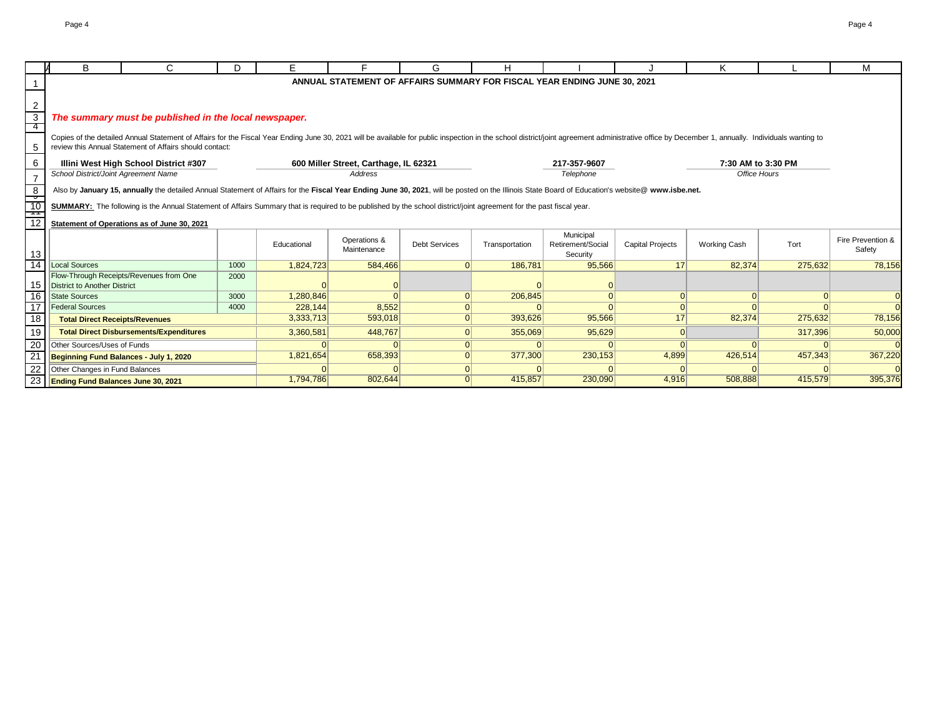|                        | B                                     | C.                                                                                                                                                                                                                             | D.   | F.          |                                                  | G                    | н              |                                                                          |                         | Κ                                  |          | м                 |
|------------------------|---------------------------------------|--------------------------------------------------------------------------------------------------------------------------------------------------------------------------------------------------------------------------------|------|-------------|--------------------------------------------------|----------------------|----------------|--------------------------------------------------------------------------|-------------------------|------------------------------------|----------|-------------------|
|                        |                                       |                                                                                                                                                                                                                                |      |             |                                                  |                      |                |                                                                          |                         |                                    |          |                   |
|                        |                                       |                                                                                                                                                                                                                                |      |             |                                                  |                      |                | ANNUAL STATEMENT OF AFFAIRS SUMMARY FOR FISCAL YEAR ENDING JUNE 30, 2021 |                         |                                    |          |                   |
|                        |                                       |                                                                                                                                                                                                                                |      |             |                                                  |                      |                |                                                                          |                         |                                    |          |                   |
| 2                      |                                       |                                                                                                                                                                                                                                |      |             |                                                  |                      |                |                                                                          |                         |                                    |          |                   |
| $\overline{3}$<br>$-4$ |                                       | The summary must be published in the local newspaper.                                                                                                                                                                          |      |             |                                                  |                      |                |                                                                          |                         |                                    |          |                   |
|                        |                                       | Copies of the detailed Annual Statement of Affairs for the Fiscal Year Ending June 30, 2021 will be available for public inspection in the school district/joint agreement administrative office by December 1, annually. Indi |      |             |                                                  |                      |                |                                                                          |                         |                                    |          |                   |
| 5                      |                                       | review this Annual Statement of Affairs should contact:                                                                                                                                                                        |      |             |                                                  |                      |                |                                                                          |                         |                                    |          |                   |
|                        |                                       |                                                                                                                                                                                                                                |      |             |                                                  |                      |                |                                                                          |                         |                                    |          |                   |
| 6                      | School District/Joint Agreement Name  | Illini West High School District #307                                                                                                                                                                                          |      |             | 600 Miller Street, Carthage, IL 62321<br>Address |                      |                | 217-357-9607<br>Telephone                                                |                         | 7:30 AM to 3:30 PM<br>Office Hours |          |                   |
| $\overline{7}$         |                                       |                                                                                                                                                                                                                                |      |             |                                                  |                      |                |                                                                          |                         |                                    |          |                   |
| 8                      |                                       | Also by January 15, annually the detailed Annual Statement of Affairs for the Fiscal Year Ending June 30, 2021, will be posted on the Illinois State Board of Education's website@ www.isbe.net.                               |      |             |                                                  |                      |                |                                                                          |                         |                                    |          |                   |
| $\frac{1}{10}$         |                                       | SUMMARY: The following is the Annual Statement of Affairs Summary that is required to be published by the school district/joint agreement for the past fiscal year.                                                            |      |             |                                                  |                      |                |                                                                          |                         |                                    |          |                   |
| ŧ                      |                                       |                                                                                                                                                                                                                                |      |             |                                                  |                      |                |                                                                          |                         |                                    |          |                   |
| 12                     |                                       | Statement of Operations as of June 30, 2021                                                                                                                                                                                    |      |             |                                                  |                      |                |                                                                          |                         |                                    |          |                   |
|                        |                                       |                                                                                                                                                                                                                                |      |             | Operations &                                     |                      |                | Municipal                                                                |                         |                                    |          | Fire Prevention & |
| 13                     |                                       |                                                                                                                                                                                                                                |      | Educational | Maintenance                                      | <b>Debt Services</b> | Transportation | Retirement/Social<br>Security                                            | <b>Capital Projects</b> | <b>Working Cash</b>                | Tort     | Safety            |
| $\overline{14}$        | <b>Local Sources</b>                  |                                                                                                                                                                                                                                | 1000 | 1,824,723   | 584,466                                          | $\Omega$             | 186,781        | 95,566                                                                   | 17                      | 82,374                             | 275,632  | 78,156            |
|                        |                                       | Flow-Through Receipts/Revenues from One                                                                                                                                                                                        | 2000 |             |                                                  |                      |                |                                                                          |                         |                                    |          |                   |
| 15                     | District to Another District          |                                                                                                                                                                                                                                |      |             |                                                  |                      |                |                                                                          |                         |                                    |          |                   |
| 16                     | <b>State Sources</b>                  |                                                                                                                                                                                                                                | 3000 | 1,280,846   | $\Omega$                                         | $\Omega$             | 206,845        |                                                                          | $\Omega$                |                                    | $\Omega$ |                   |
| $\overline{17}$        | <b>Federal Sources</b>                |                                                                                                                                                                                                                                | 4000 | 228.144     | 8,552                                            |                      |                |                                                                          |                         |                                    |          |                   |
| 18                     | <b>Total Direct Receipts/Revenues</b> |                                                                                                                                                                                                                                |      | 3,333,713   | 593,018                                          | $\Omega$             | 393,626        | 95,566                                                                   | 17                      | 82,374                             | 275,632  | 78,156            |
| 19                     |                                       | <b>Total Direct Disbursements/Expenditures</b>                                                                                                                                                                                 |      | 3,360,581   | 448,767                                          | $\Omega$             | 355,069        | 95,629                                                                   | $\Omega$                |                                    | 317,396  | 50,000            |
| 20                     | Other Sources/Uses of Funds           |                                                                                                                                                                                                                                |      |             |                                                  | $\Omega$             |                |                                                                          | $\Omega$                |                                    |          |                   |
| $\overline{21}$        |                                       | Beginning Fund Balances - July 1, 2020                                                                                                                                                                                         |      | 1,821,654   | 658,393                                          | $\Omega$             | 377,300        | 230,153                                                                  | 4,899                   | 426,514                            | 457,343  | 367,220           |
| 22                     | Other Changes in Fund Balances        |                                                                                                                                                                                                                                |      |             |                                                  | $\Omega$             |                |                                                                          |                         |                                    |          |                   |
|                        | 23 Ending Fund Balances June 30, 2021 |                                                                                                                                                                                                                                |      | 1,794,786   | 802,644                                          | 0                    | 415,857        | 230,090                                                                  | 4,916                   | 508,888                            | 415,579  | 395,376           |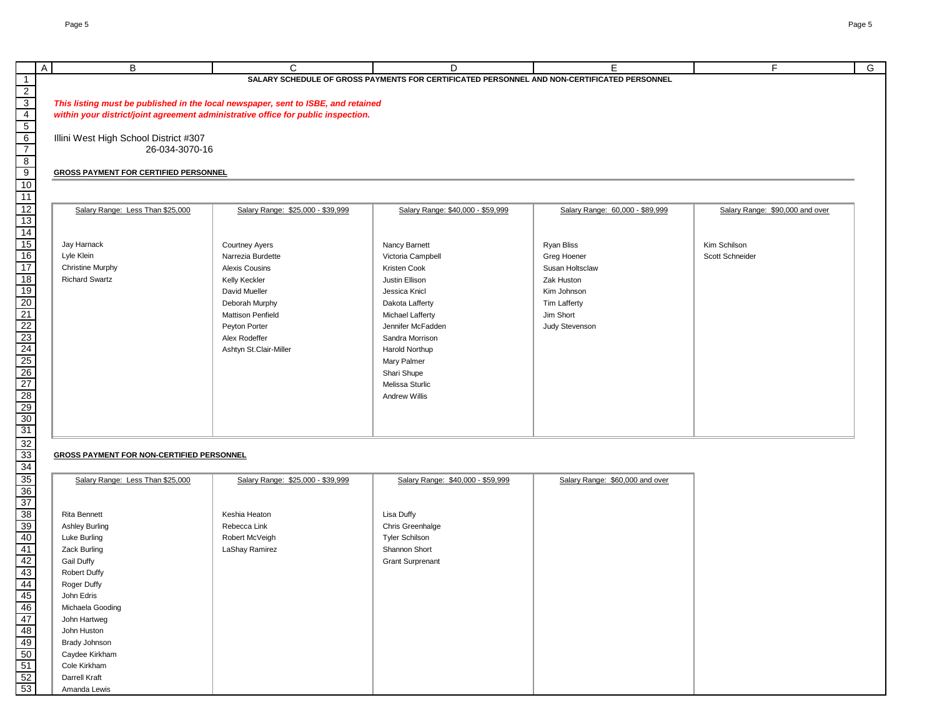| B                                            | C                                                                                 | D.                                                                                          | E                               | E                               |
|----------------------------------------------|-----------------------------------------------------------------------------------|---------------------------------------------------------------------------------------------|---------------------------------|---------------------------------|
|                                              |                                                                                   | SALARY SCHEDULE OF GROSS PAYMENTS FOR CERTIFICATED PERSONNEL AND NON-CERTIFICATED PERSONNEL |                                 |                                 |
|                                              |                                                                                   |                                                                                             |                                 |                                 |
|                                              | This listing must be published in the local newspaper, sent to ISBE, and retained |                                                                                             |                                 |                                 |
|                                              | within your district/joint agreement administrative office for public inspection. |                                                                                             |                                 |                                 |
|                                              |                                                                                   |                                                                                             |                                 |                                 |
| Illini West High School District #307        |                                                                                   |                                                                                             |                                 |                                 |
| 26-034-3070-16                               |                                                                                   |                                                                                             |                                 |                                 |
| <b>GROSS PAYMENT FOR CERTIFIED PERSONNEL</b> |                                                                                   |                                                                                             |                                 |                                 |
|                                              |                                                                                   |                                                                                             |                                 |                                 |
|                                              |                                                                                   |                                                                                             |                                 |                                 |
| Salary Range: Less Than \$25,000             | Salary Range: \$25,000 - \$39,999                                                 | Salary Range: \$40,000 - \$59,999                                                           | Salary Range: 60,000 - \$89,999 | Salary Range: \$90,000 and over |
|                                              |                                                                                   |                                                                                             |                                 |                                 |
|                                              |                                                                                   |                                                                                             |                                 |                                 |
| Jay Harnack                                  | <b>Courtney Ayers</b>                                                             | Nancy Barnett                                                                               | Ryan Bliss                      | Kim Schilson                    |
| Lyle Klein                                   | Narrezia Burdette                                                                 | Victoria Campbell                                                                           | Greg Hoener                     | Scott Schneider                 |
| <b>Christine Murphy</b>                      | <b>Alexis Cousins</b>                                                             | Kristen Cook                                                                                | Susan Holtsclaw                 |                                 |
| <b>Richard Swartz</b>                        | Kelly Keckler                                                                     | Justin Ellison                                                                              | Zak Huston                      |                                 |
|                                              | David Mueller                                                                     | Jessica Knicl                                                                               | Kim Johnson                     |                                 |
|                                              | Deborah Murphy                                                                    | Dakota Lafferty                                                                             | Tim Lafferty                    |                                 |
|                                              | <b>Mattison Penfield</b>                                                          | Michael Lafferty                                                                            | Jim Short                       |                                 |
|                                              | Peyton Porter                                                                     | Jennifer McFadden                                                                           | Judy Stevenson                  |                                 |
|                                              | Alex Rodeffer                                                                     | Sandra Morrison                                                                             |                                 |                                 |
|                                              | Ashtyn St.Clair-Miller                                                            | Harold Northup                                                                              |                                 |                                 |
|                                              |                                                                                   | Mary Palmer                                                                                 |                                 |                                 |
|                                              |                                                                                   | Shari Shupe                                                                                 |                                 |                                 |
|                                              |                                                                                   | Melissa Sturlic                                                                             |                                 |                                 |
|                                              |                                                                                   | Andrew Willis                                                                               |                                 |                                 |
|                                              |                                                                                   |                                                                                             |                                 |                                 |
|                                              |                                                                                   |                                                                                             |                                 |                                 |
|                                              |                                                                                   |                                                                                             |                                 |                                 |

## **GROSS PAYMENT FOR NON-CERTIFIED PERSONNEL**

| Salary Range: Less Than \$25,000 | Salary Range: \$25,000 - \$39,999 | Salary Range: \$40,000 - \$59,999 | Salary Range: \$60,000 and over |
|----------------------------------|-----------------------------------|-----------------------------------|---------------------------------|
|                                  |                                   |                                   |                                 |
| Rita Bennett                     | Keshia Heaton                     | Lisa Duffy                        |                                 |
| <b>Ashley Burling</b>            | Rebecca Link                      | Chris Greenhalge                  |                                 |
| Luke Burling                     | Robert McVeigh                    | <b>Tyler Schilson</b>             |                                 |
| Zack Burling                     | LaShay Ramirez                    | Shannon Short                     |                                 |
| <b>Gail Duffy</b>                |                                   | <b>Grant Surprenant</b>           |                                 |
| <b>Robert Duffy</b>              |                                   |                                   |                                 |
| Roger Duffy                      |                                   |                                   |                                 |
| John Edris                       |                                   |                                   |                                 |
| Michaela Gooding                 |                                   |                                   |                                 |
| John Hartweg                     |                                   |                                   |                                 |
| John Huston                      |                                   |                                   |                                 |
| Brady Johnson                    |                                   |                                   |                                 |
| Caydee Kirkham                   |                                   |                                   |                                 |
| Cole Kirkham                     |                                   |                                   |                                 |
| Darrell Kraft                    |                                   |                                   |                                 |
| Amanda Lewis                     |                                   |                                   |                                 |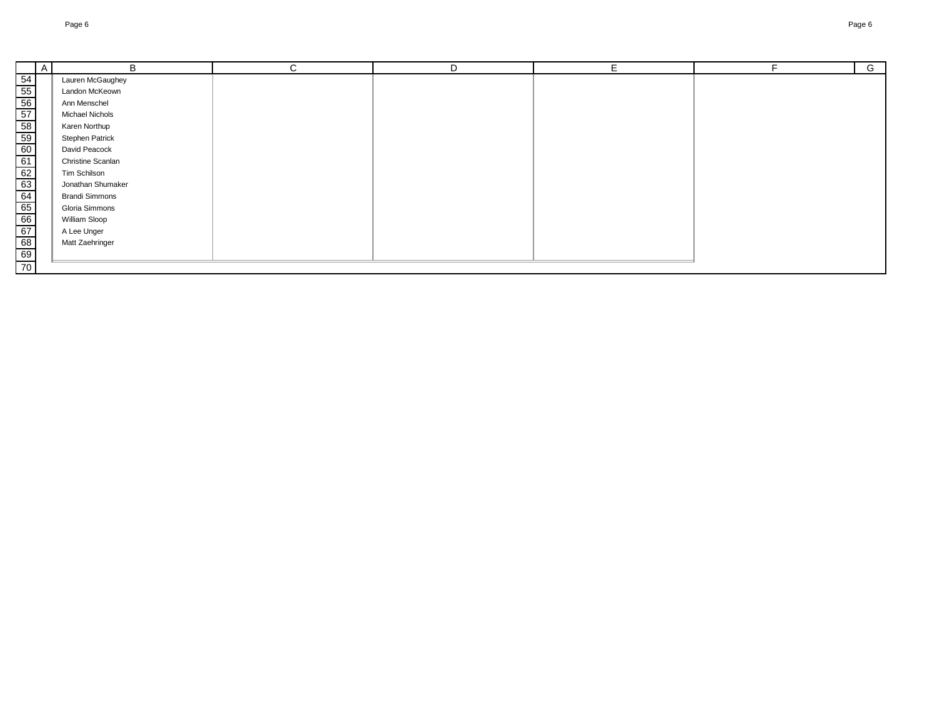B

A

|    | Lauren McGaughey         |  |  |
|----|--------------------------|--|--|
|    | Landon McKeown           |  |  |
|    | Ann Menschel             |  |  |
|    | Michael Nichols          |  |  |
|    | Karen Northup            |  |  |
|    | <b>Stephen Patrick</b>   |  |  |
|    | David Peacock            |  |  |
|    | <b>Christine Scanlan</b> |  |  |
|    | Tim Schilson             |  |  |
|    | Jonathan Shumaker        |  |  |
|    | <b>Brandi Simmons</b>    |  |  |
|    | Gloria Simmons           |  |  |
|    | William Sloop            |  |  |
|    | A Lee Unger              |  |  |
|    | Matt Zaehringer          |  |  |
|    |                          |  |  |
| 70 |                          |  |  |
|    |                          |  |  |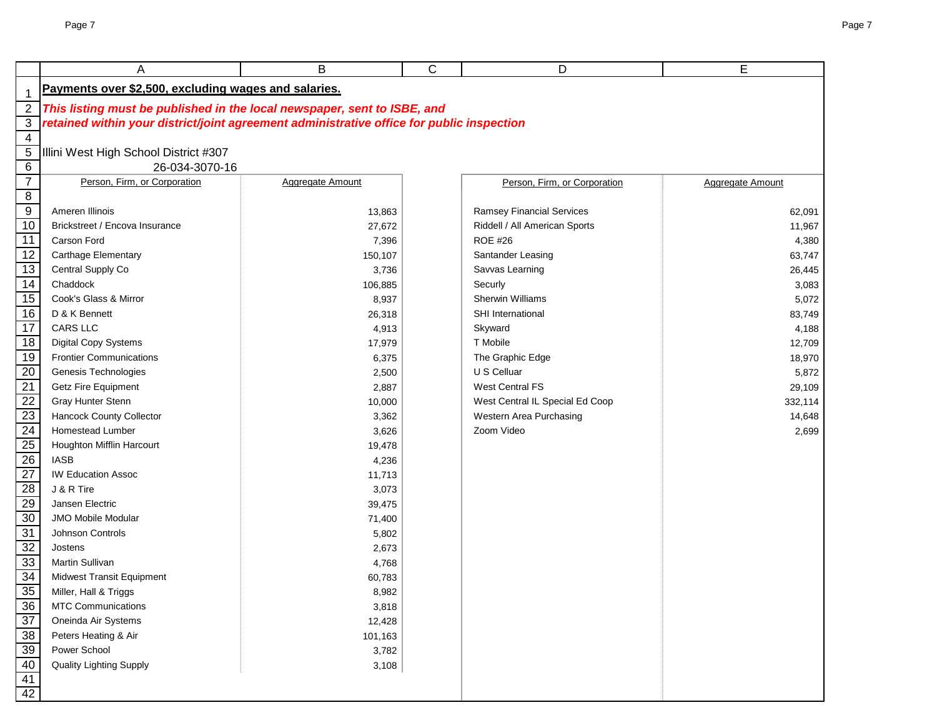|                                                       | A                                                                                                                                                                     | B                       | C | D                                | E                       |
|-------------------------------------------------------|-----------------------------------------------------------------------------------------------------------------------------------------------------------------------|-------------------------|---|----------------------------------|-------------------------|
|                                                       | Payments over \$2,500, excluding wages and salaries.                                                                                                                  |                         |   |                                  |                         |
| $\mathbf 1$<br>$\sqrt{2}$                             |                                                                                                                                                                       |                         |   |                                  |                         |
| $\overline{3}$                                        | This listing must be published in the local newspaper, sent to ISBE, and<br>retained within your district/joint agreement administrative office for public inspection |                         |   |                                  |                         |
| $\overline{4}$                                        |                                                                                                                                                                       |                         |   |                                  |                         |
| $\overline{5}$                                        | Illini West High School District #307                                                                                                                                 |                         |   |                                  |                         |
| 6                                                     | 26-034-3070-16                                                                                                                                                        |                         |   |                                  |                         |
| $\overline{7}$                                        | Person, Firm, or Corporation                                                                                                                                          | <b>Aggregate Amount</b> |   | Person, Firm, or Corporation     | <b>Aggregate Amount</b> |
| $\overline{\mathbf{8}}$                               |                                                                                                                                                                       |                         |   |                                  |                         |
| $\overline{9}$                                        | Ameren Illinois                                                                                                                                                       | 13,863                  |   | <b>Ramsey Financial Services</b> | 62,091                  |
| 10                                                    | Brickstreet / Encova Insurance                                                                                                                                        | 27,672                  |   | Riddell / All American Sports    | 11,967                  |
| $\overline{11}$                                       | Carson Ford                                                                                                                                                           | 7,396                   |   | <b>ROE #26</b>                   | 4,380                   |
| $\overline{12}$                                       | Carthage Elementary                                                                                                                                                   | 150,107                 |   | Santander Leasing                | 63,747                  |
| $\overline{13}$                                       | Central Supply Co                                                                                                                                                     | 3,736                   |   | Savvas Learning                  | 26,445                  |
| $\overline{14}$                                       | Chaddock                                                                                                                                                              | 106,885                 |   | Securly                          | 3,083                   |
| $\overline{15}$                                       | Cook's Glass & Mirror                                                                                                                                                 | 8,937                   |   | Sherwin Williams                 | 5,072                   |
| $\overline{16}$                                       | D & K Bennett                                                                                                                                                         | 26,318                  |   | SHI International                | 83,749                  |
| $\overline{17}$                                       | <b>CARS LLC</b>                                                                                                                                                       | 4,913                   |   | Skyward                          | 4,188                   |
| $\overline{18}$                                       | Digital Copy Systems                                                                                                                                                  | 17,979                  |   | T Mobile                         | 12,709                  |
| $\overline{19}$                                       | <b>Frontier Communications</b>                                                                                                                                        | 6,375                   |   | The Graphic Edge                 | 18,970                  |
|                                                       | Genesis Technologies                                                                                                                                                  | 2,500                   |   | U S Celluar                      | 5,872                   |
| $\frac{20}{21}$                                       | Getz Fire Equipment                                                                                                                                                   | 2,887                   |   | <b>West Central FS</b>           | 29,109                  |
|                                                       | Gray Hunter Stenn                                                                                                                                                     | 10,000                  |   | West Central IL Special Ed Coop  | 332,114                 |
| $\frac{22}{23}$<br>$\frac{23}{24}$<br>$\frac{24}{25}$ | <b>Hancock County Collector</b>                                                                                                                                       | 3,362                   |   | Western Area Purchasing          | 14,648                  |
|                                                       | Homestead Lumber                                                                                                                                                      | 3,626                   |   | Zoom Video                       | 2,699                   |
|                                                       | Houghton Mifflin Harcourt                                                                                                                                             | 19,478                  |   |                                  |                         |
| $\overline{26}$                                       | <b>IASB</b>                                                                                                                                                           | 4,236                   |   |                                  |                         |
| $\overline{27}$                                       | <b>IW Education Assoc</b>                                                                                                                                             | 11,713                  |   |                                  |                         |
| $\frac{28}{29}$                                       | J & R Tire                                                                                                                                                            | 3,073                   |   |                                  |                         |
|                                                       | Jansen Electric                                                                                                                                                       | 39,475                  |   |                                  |                         |
| $\frac{30}{2}$                                        | <b>JMO Mobile Modular</b>                                                                                                                                             | 71,400                  |   |                                  |                         |
| 31                                                    | Johnson Controls                                                                                                                                                      | 5,802                   |   |                                  |                         |
| 32                                                    | Jostens                                                                                                                                                               | 2,673                   |   |                                  |                         |
| 33                                                    | Martin Sullivan                                                                                                                                                       | 4,768                   |   |                                  |                         |
| 34                                                    | Midwest Transit Equipment                                                                                                                                             | 60,783                  |   |                                  |                         |
| <u>35</u>                                             | Miller, Hall & Triggs                                                                                                                                                 | 8,982                   |   |                                  |                         |
| $\frac{36}{5}$                                        | <b>MTC Communications</b>                                                                                                                                             | 3,818                   |   |                                  |                         |
| $\frac{37}{2}$                                        | Oneinda Air Systems                                                                                                                                                   | 12,428                  |   |                                  |                         |
| $\frac{1}{38}$                                        | Peters Heating & Air                                                                                                                                                  | 101,163                 |   |                                  |                         |
| $\overline{39}$                                       | Power School                                                                                                                                                          | 3,782                   |   |                                  |                         |
| $\overline{40}$                                       | <b>Quality Lighting Supply</b>                                                                                                                                        | 3,108                   |   |                                  |                         |
| $\frac{41}{42}$                                       |                                                                                                                                                                       |                         |   |                                  |                         |
|                                                       |                                                                                                                                                                       |                         |   |                                  |                         |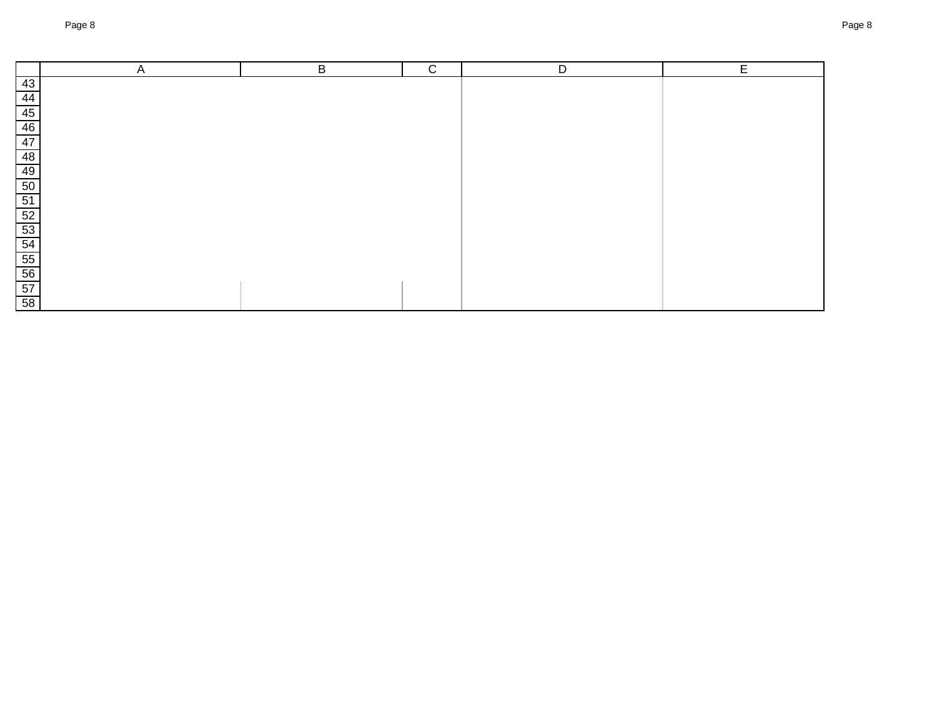|                 | A | B | $\mathsf{C}$ | D | Е |
|-----------------|---|---|--------------|---|---|
| 43              |   |   |              |   |   |
| 44              |   |   |              |   |   |
|                 |   |   |              |   |   |
| $\frac{45}{46}$ |   |   |              |   |   |
|                 |   |   |              |   |   |
| $\frac{47}{48}$ |   |   |              |   |   |
| 49              |   |   |              |   |   |
| $\frac{50}{52}$ |   |   |              |   |   |
|                 |   |   |              |   |   |
|                 |   |   |              |   |   |
|                 |   |   |              |   |   |
|                 |   |   |              |   |   |
|                 |   |   |              |   |   |
| $\frac{54}{55}$ |   |   |              |   |   |
|                 |   |   |              |   |   |
| 58              |   |   |              |   |   |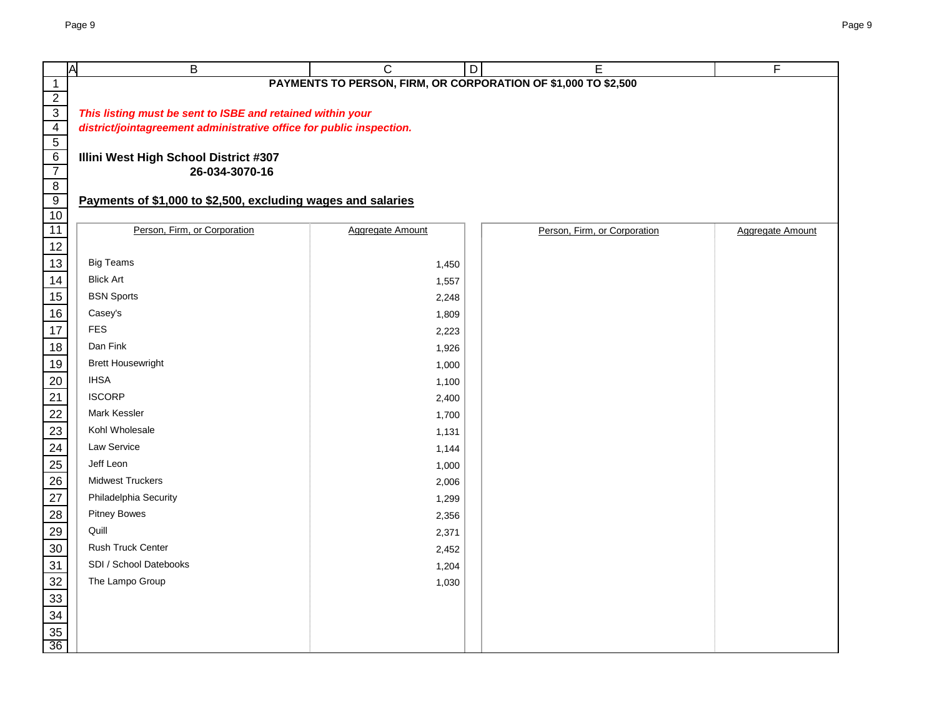|                                  | Ā<br>B                                                               | $\mathsf{C}$                                                   | D | E                            | F                |  |  |  |  |  |  |
|----------------------------------|----------------------------------------------------------------------|----------------------------------------------------------------|---|------------------------------|------------------|--|--|--|--|--|--|
| $\mathbf{1}$                     |                                                                      | PAYMENTS TO PERSON, FIRM, OR CORPORATION OF \$1,000 TO \$2,500 |   |                              |                  |  |  |  |  |  |  |
| $\overline{2}$                   |                                                                      |                                                                |   |                              |                  |  |  |  |  |  |  |
| $\overline{3}$<br>$\overline{4}$ | This listing must be sent to ISBE and retained within your           |                                                                |   |                              |                  |  |  |  |  |  |  |
| $\overline{5}$                   | district/jointagreement administrative office for public inspection. |                                                                |   |                              |                  |  |  |  |  |  |  |
| 6                                | Illini West High School District #307                                |                                                                |   |                              |                  |  |  |  |  |  |  |
| $\overline{7}$                   | 26-034-3070-16                                                       |                                                                |   |                              |                  |  |  |  |  |  |  |
| $\overline{8}$                   |                                                                      |                                                                |   |                              |                  |  |  |  |  |  |  |
| $\overline{9}$                   | Payments of \$1,000 to \$2,500, excluding wages and salaries         |                                                                |   |                              |                  |  |  |  |  |  |  |
| 10                               | Person, Firm, or Corporation                                         |                                                                |   |                              |                  |  |  |  |  |  |  |
| 11<br>12                         |                                                                      | <b>Aggregate Amount</b>                                        |   | Person, Firm, or Corporation | Aggregate Amount |  |  |  |  |  |  |
| 13                               | <b>Big Teams</b>                                                     | 1,450                                                          |   |                              |                  |  |  |  |  |  |  |
| 14                               | <b>Blick Art</b>                                                     | 1,557                                                          |   |                              |                  |  |  |  |  |  |  |
| 15                               | <b>BSN Sports</b>                                                    | 2,248                                                          |   |                              |                  |  |  |  |  |  |  |
| 16                               | Casey's                                                              | 1,809                                                          |   |                              |                  |  |  |  |  |  |  |
| 17                               | <b>FES</b>                                                           | 2,223                                                          |   |                              |                  |  |  |  |  |  |  |
| 18                               | Dan Fink                                                             | 1,926                                                          |   |                              |                  |  |  |  |  |  |  |
| 19                               | <b>Brett Housewright</b>                                             | 1,000                                                          |   |                              |                  |  |  |  |  |  |  |
| 20                               | <b>IHSA</b>                                                          | 1,100                                                          |   |                              |                  |  |  |  |  |  |  |
| 21                               | <b>ISCORP</b>                                                        | 2,400                                                          |   |                              |                  |  |  |  |  |  |  |
| 22                               | Mark Kessler                                                         | 1,700                                                          |   |                              |                  |  |  |  |  |  |  |
| 23                               | Kohl Wholesale                                                       | 1,131                                                          |   |                              |                  |  |  |  |  |  |  |
| 24                               | Law Service                                                          | 1,144                                                          |   |                              |                  |  |  |  |  |  |  |
| 25                               | Jeff Leon                                                            | 1,000                                                          |   |                              |                  |  |  |  |  |  |  |
| 26                               | <b>Midwest Truckers</b>                                              | 2,006                                                          |   |                              |                  |  |  |  |  |  |  |
| 27                               | Philadelphia Security                                                | 1,299                                                          |   |                              |                  |  |  |  |  |  |  |
| 28                               | <b>Pitney Bowes</b>                                                  | 2,356                                                          |   |                              |                  |  |  |  |  |  |  |
| 29                               | Quill                                                                | 2,371                                                          |   |                              |                  |  |  |  |  |  |  |
| 30                               | Rush Truck Center                                                    | 2,452                                                          |   |                              |                  |  |  |  |  |  |  |
| 31                               | SDI / School Datebooks                                               | 1,204                                                          |   |                              |                  |  |  |  |  |  |  |
| 32                               | The Lampo Group                                                      | 1,030                                                          |   |                              |                  |  |  |  |  |  |  |
| 33                               |                                                                      |                                                                |   |                              |                  |  |  |  |  |  |  |
| 34                               |                                                                      |                                                                |   |                              |                  |  |  |  |  |  |  |
| 35                               |                                                                      |                                                                |   |                              |                  |  |  |  |  |  |  |
| 36                               |                                                                      |                                                                |   |                              |                  |  |  |  |  |  |  |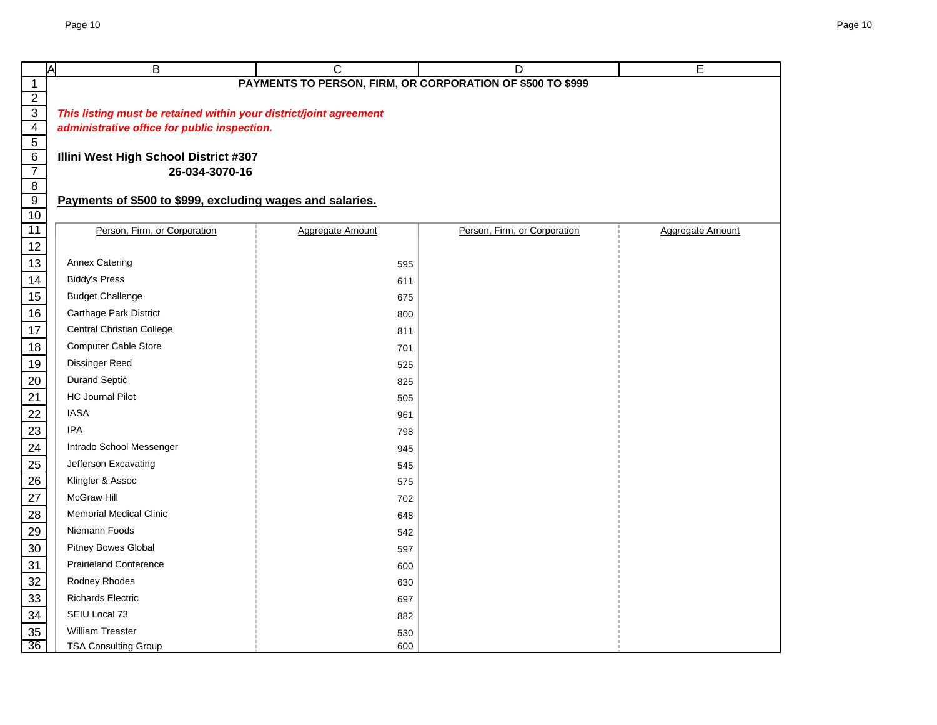| ΙA                                                    | В                                                                  | C                | D                                                          | Е                |
|-------------------------------------------------------|--------------------------------------------------------------------|------------------|------------------------------------------------------------|------------------|
| $\mathbf{1}$                                          |                                                                    |                  | PAYMENTS TO PERSON, FIRM, OR CORPORATION OF \$500 TO \$999 |                  |
| $\overline{2}$                                        |                                                                    |                  |                                                            |                  |
| $\overline{3}$                                        | This listing must be retained within your district/joint agreement |                  |                                                            |                  |
| $\frac{4}{5}$                                         | administrative office for public inspection.                       |                  |                                                            |                  |
| $\overline{6}$                                        | Illini West High School District #307                              |                  |                                                            |                  |
| $\overline{7}$                                        | 26-034-3070-16                                                     |                  |                                                            |                  |
| $\overline{8}$                                        |                                                                    |                  |                                                            |                  |
| $\overline{9}$                                        | Payments of \$500 to \$999, excluding wages and salaries.          |                  |                                                            |                  |
| 10                                                    |                                                                    |                  |                                                            |                  |
| 11                                                    | Person, Firm, or Corporation                                       | Aggregate Amount | Person, Firm, or Corporation                               | Aggregate Amount |
| $\overline{12}$                                       |                                                                    |                  |                                                            |                  |
| $\overline{13}$                                       | <b>Annex Catering</b>                                              | 595              |                                                            |                  |
| 14                                                    | <b>Biddy's Press</b>                                               | 611              |                                                            |                  |
| 15                                                    | <b>Budget Challenge</b>                                            | 675              |                                                            |                  |
| 16                                                    | Carthage Park District                                             | 800              |                                                            |                  |
| 17                                                    | <b>Central Christian College</b>                                   | 811              |                                                            |                  |
| 18                                                    | <b>Computer Cable Store</b>                                        | 701              |                                                            |                  |
| 19                                                    | <b>Dissinger Reed</b>                                              | 525              |                                                            |                  |
| $\frac{20}{1}$                                        | <b>Durand Septic</b>                                               | 825              |                                                            |                  |
|                                                       | <b>HC Journal Pilot</b>                                            | 505              |                                                            |                  |
|                                                       | <b>IASA</b>                                                        | 961              |                                                            |                  |
| $\frac{21}{22}$<br>$\frac{23}{24}$<br>$\frac{24}{25}$ | <b>IPA</b>                                                         | 798              |                                                            |                  |
|                                                       | Intrado School Messenger                                           | 945              |                                                            |                  |
|                                                       | Jefferson Excavating                                               | 545              |                                                            |                  |
| $\frac{26}{5}$                                        | Klingler & Assoc                                                   | 575              |                                                            |                  |
| $\overline{27}$                                       | <b>McGraw Hill</b>                                                 | 702              |                                                            |                  |
| $\frac{28}{2}$                                        | <b>Memorial Medical Clinic</b>                                     | 648              |                                                            |                  |
| 29                                                    | Niemann Foods                                                      | 542              |                                                            |                  |
| 30                                                    | Pitney Bowes Global                                                | 597              |                                                            |                  |
| 31                                                    | <b>Prairieland Conference</b>                                      | 600              |                                                            |                  |
| $\frac{32}{2}$                                        | Rodney Rhodes                                                      | 630              |                                                            |                  |
| $\overline{33}$                                       | <b>Richards Electric</b>                                           | 697              |                                                            |                  |
| 34                                                    | SEIU Local 73                                                      | 882              |                                                            |                  |
| 35                                                    | William Treaster                                                   | 530              |                                                            |                  |
| 36                                                    | <b>TSA Consulting Group</b>                                        | 600              |                                                            |                  |